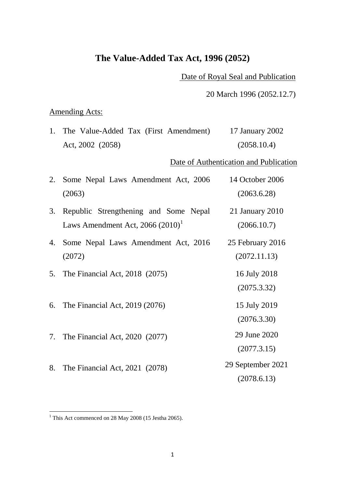# **The Value-Added Tax Act, 1996 (2052)**

Date of Royal Seal and Publication

20 March 1996 (2052.12.7)

## Amending Acts:

| 1. The Value-Added Tax (First Amendment) |  | 17 January 2002 |
|------------------------------------------|--|-----------------|
| Act, 2002 (2058)                         |  | (2058.10.4)     |

Date of Authentication and Publication

|    | 2. Some Nepal Laws Amendment Act, 2006<br>(2063)                             | 14 October 2006<br>(2063.6.28)   |
|----|------------------------------------------------------------------------------|----------------------------------|
| 3. | Republic Strengthening and Some Nepal<br>Laws Amendment Act, $2066 (2010)^T$ | 21 January 2010<br>(2066.10.7)   |
| 4. | Some Nepal Laws Amendment Act, 2016<br>(2072)                                | 25 February 2016<br>(2072.11.13) |
|    | 5. The Financial Act, 2018 (2075)                                            | 16 July 2018<br>(2075.3.32)      |
|    | 6. The Financial Act, 2019 (2076)                                            | 15 July 2019<br>(2076.3.30)      |
|    | 7. The Financial Act, 2020 (2077)                                            | 29 June 2020<br>(2077.3.15)      |
| 8. | The Financial Act, 2021 (2078)                                               | 29 September 2021                |

(2078.6.13)

<span id="page-0-0"></span><sup>&</sup>lt;sup>1</sup> This Act commenced on 28 May 2008 (15 Jestha 2065).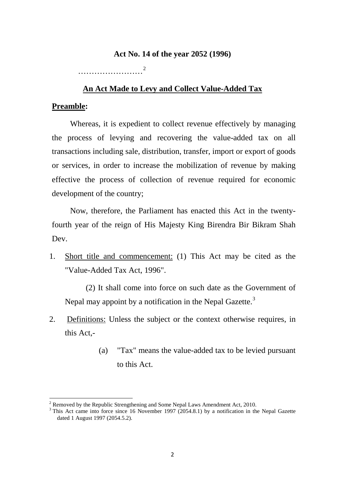#### **Act No. 14 of the year 2052 (1996)**

……………………[2](#page-1-0)

#### **An Act Made to Levy and Collect Value-Added Tax**

### **Preamble:**

Whereas, it is expedient to collect revenue effectively by managing the process of levying and recovering the value-added tax on all transactions including sale, distribution, transfer, import or export of goods or services, in order to increase the mobilization of revenue by making effective the process of collection of revenue required for economic development of the country;

Now, therefore, the Parliament has enacted this Act in the twentyfourth year of the reign of His Majesty King Birendra Bir Bikram Shah Dev.

1. Short title and commencement: (1) This Act may be cited as the "Value-Added Tax Act, 1996".

(2) It shall come into force on such date as the Government of Nepal may appoint by a notification in the Nepal Gazette.<sup>[3](#page-1-1)</sup>

- 2. Definitions: Unless the subject or the context otherwise requires, in this Act,-
	- (a) "Tax" means the value-added tax to be levied pursuant to this Act.

<span id="page-1-0"></span> $2$  Removed by the Republic Strengthening and Some Nepal Laws Amendment Act, 2010.

<span id="page-1-1"></span><sup>&</sup>lt;sup>3</sup> This Act came into force since 16 November 1997 (2054.8.1) by a notification in the Nepal Gazette dated 1 August 1997 (2054.5.2).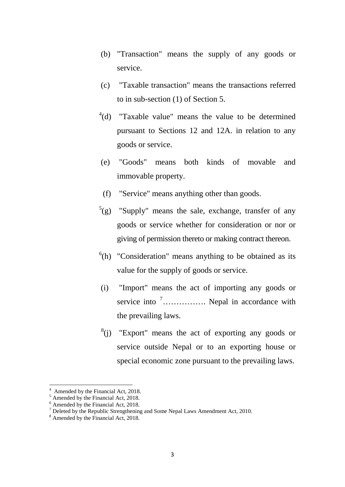- (b) "Transaction" means the supply of any goods or service.
- (c) "Taxable transaction" means the transactions referred to in sub-section (1) of Section 5.
- $^{4}$  $^{4}$  $^{4}$ (d) "Taxable value" means the value to be determined pursuant to Sections 12 and 12A. in relation to any goods or service.
- (e) "Goods" means both kinds of movable and immovable property.
- (f) "Service" means anything other than goods.
- $^{5}$  $^{5}$  $^{5}$ (g) "Supply" means the sale, exchange, transfer of any goods or service whether for consideration or nor or giving of permission thereto or making contract thereon.
- $<sup>6</sup>(h)$  $<sup>6</sup>(h)$  $<sup>6</sup>(h)$  "Consideration" means anything to be obtained as its</sup> value for the supply of goods or service.
- (i) "Import" means the act of importing any goods or service into <sup>[7](#page-2-3)</sup>................. Nepal in accordance with the prevailing laws.
- $8(j)$  $8(j)$  "Export" means the act of exporting any goods or service outside Nepal or to an exporting house or special economic zone pursuant to the prevailing laws.

<sup>4</sup>

<span id="page-2-1"></span>

<span id="page-2-3"></span><span id="page-2-2"></span>

<span id="page-2-0"></span><sup>&</sup>lt;sup>4</sup> Amended by the Financial Act, 2018.<br>
<sup>5</sup> Amended by the Financial Act, 2018.<br>
<sup>6</sup> Amended by the Financial Act, 2018.<br>
<sup>7</sup> Deleted by the Republic Strengthening and Some Nepal Laws Amendment Act, 2010.<br>
<sup>8</sup> Amended by

<span id="page-2-4"></span>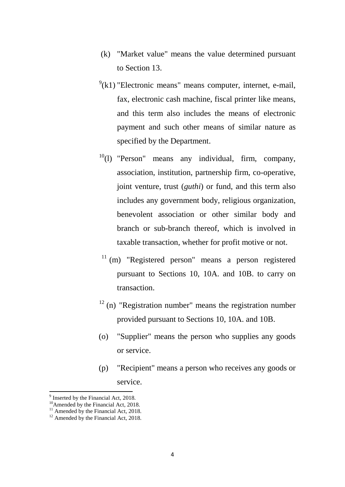- (k) "Market value" means the value determined pursuant to Section 13.
- $(9)(k)$  $(9)(k)$  $(9)(k)$  "Electronic means" means computer, internet, e-mail, fax, electronic cash machine, fiscal printer like means, and this term also includes the means of electronic payment and such other means of similar nature as specified by the Department.
- $10(1)$  $10(1)$  "Person" means any individual, firm, company, association, institution, partnership firm, co-operative, joint venture, trust (*guthi*) or fund, and this term also includes any government body, religious organization, benevolent association or other similar body and branch or sub-branch thereof, which is involved in taxable transaction, whether for profit motive or not.
- $11$  (m) "Registered person" means a person registered pursuant to Sections 10, 10A. and 10B. to carry on transaction.
- $12$  (n) "Registration number" means the registration number provided pursuant to Sections 10, 10A. and 10B.
- (o) "Supplier" means the person who supplies any goods or service.
- (p) "Recipient" means a person who receives any goods or service.

<span id="page-3-2"></span>

<span id="page-3-1"></span><span id="page-3-0"></span><sup>&</sup>lt;sup>9</sup> Inserted by the Financial Act, 2018.<br><sup>10</sup>Amended by the Financial Act, 2018.<br><sup>11</sup> Amended by the Financial Act, 2018.

<span id="page-3-3"></span>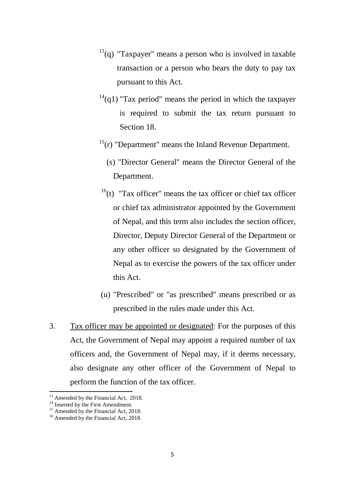- $13<sup>13</sup>(q)$  $13<sup>13</sup>(q)$  "Taxpayer" means a person who is involved in taxable transaction or a person who bears the duty to pay tax pursuant to this Act.
- $14$ (q1) "Tax period" means the period in which the taxpayer is required to submit the tax return pursuant to Section 18.
- $15(r)$  $15(r)$  "Department" means the Inland Revenue Department.
	- (s) "Director General" means the Director General of the Department.
- $16(t)$  $16(t)$  "Tax officer" means the tax officer or chief tax officer or chief tax administrator appointed by the Government of Nepal, and this term also includes the section officer, Director, Deputy Director General of the Department or any other officer so designated by the Government of Nepal as to exercise the powers of the tax officer under this Act.
- (u) "Prescribed" or "as prescribed" means prescribed or as prescribed in the rules made under this Act.
- 3. Tax officer may be appointed or designated: For the purposes of this Act, the Government of Nepal may appoint a required number of tax officers and, the Government of Nepal may, if it deems necessary, also designate any other officer of the Government of Nepal to perform the function of the tax officer.

<span id="page-4-2"></span>

<span id="page-4-1"></span><span id="page-4-0"></span><sup>&</sup>lt;sup>13</sup> Amended by the Financial Act, 2018.<br><sup>14</sup> Inserted by the First Amendment.<br><sup>15</sup> Amended by the Financial Act, 2018.<br><sup>16</sup> Amended by the Financial Act, 2018.

<span id="page-4-3"></span>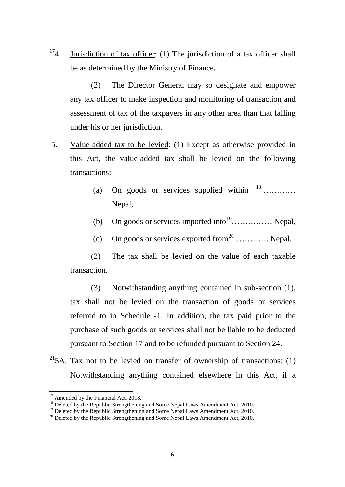<sup>17</sup>4. Jurisdiction of tax officer: (1) The jurisdiction of a tax officer shall be as determined by the Ministry of Finance.

(2) The Director General may so designate and empower any tax officer to make inspection and monitoring of transaction and assessment of tax of the taxpayers in any other area than that falling under his or her jurisdiction.

- 5. Value-added tax to be levied: (1) Except as otherwise provided in this Act, the value-added tax shall be levied on the following transactions:
	- (a) On goods or services supplied within  $18$  … ……… Nepal,
	- (b) On goods or services imported into<sup>19</sup>................ Nepal,
	- (c) On goods or services exported from  $2^0$  .............. Nepal.

(2) The tax shall be levied on the value of each taxable transaction.

(3) Notwithstanding anything contained in sub-section (1), tax shall not be levied on the transaction of goods or services referred to in Schedule -1. In addition, the tax paid prior to the purchase of such goods or services shall not be liable to be deducted pursuant to Section 17 and to be refunded pursuant to Section 24.

<sup>21</sup>5A. Tax not to be levied on transfer of ownership of transactions:  $(1)$ Notwithstanding anything contained elsewhere in this Act, if a

**<sup>.</sup>** 

<span id="page-5-1"></span><span id="page-5-0"></span><sup>&</sup>lt;sup>17</sup> Amended by the Financial Act, 2018.<br><sup>18</sup> Deleted by the Republic Strengthening and Some Nepal Laws Amendment Act, 2010.<br><sup>19</sup> Deleted by the Republic Strengthening and Some Nepal Laws Amendment Act, 2010.<br><sup>20</sup> Deleted

<span id="page-5-4"></span><span id="page-5-2"></span>

<span id="page-5-3"></span>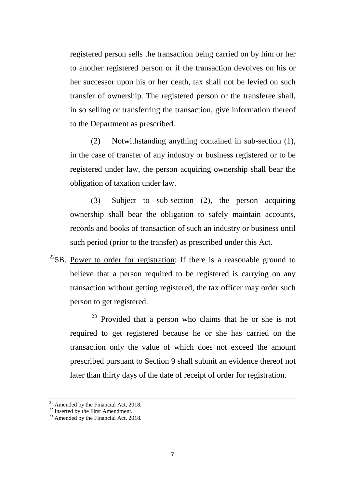registered person sells the transaction being carried on by him or her to another registered person or if the transaction devolves on his or her successor upon his or her death, tax shall not be levied on such transfer of ownership. The registered person or the transferee shall, in so selling or transferring the transaction, give information thereof to the Department as prescribed.

(2) Notwithstanding anything contained in sub-section (1), in the case of transfer of any industry or business registered or to be registered under law, the person acquiring ownership shall bear the obligation of taxation under law.

(3) Subject to sub-section (2), the person acquiring ownership shall bear the obligation to safely maintain accounts, records and books of transaction of such an industry or business until such period (prior to the transfer) as prescribed under this Act.

 $22$ <sub>5</sub>B. Power to order for registration: If there is a reasonable ground to believe that a person required to be registered is carrying on any transaction without getting registered, the tax officer may order such person to get registered.

[23](#page-6-1) Provided that a person who claims that he or she is not required to get registered because he or she has carried on the transaction only the value of which does not exceed the amount prescribed pursuant to Section 9 shall submit an evidence thereof not later than thirty days of the date of receipt of order for registration.

 $\overline{\phantom{a}}$ 

<span id="page-6-0"></span><sup>&</sup>lt;sup>21</sup> Amended by the Financial Act, 2018.<br><sup>22</sup> Inserted by the First Amendment.<br><sup>23</sup> Amended by the Financial Act, 2018.

<span id="page-6-1"></span>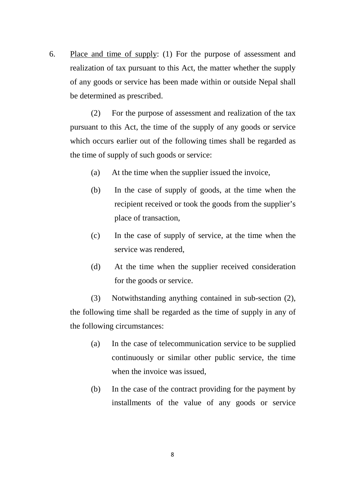6. Place and time of supply: (1) For the purpose of assessment and realization of tax pursuant to this Act, the matter whether the supply of any goods or service has been made within or outside Nepal shall be determined as prescribed.

(2) For the purpose of assessment and realization of the tax pursuant to this Act, the time of the supply of any goods or service which occurs earlier out of the following times shall be regarded as the time of supply of such goods or service:

- (a) At the time when the supplier issued the invoice,
- (b) In the case of supply of goods, at the time when the recipient received or took the goods from the supplier's place of transaction,
- (c) In the case of supply of service, at the time when the service was rendered,
- (d) At the time when the supplier received consideration for the goods or service.

(3) Notwithstanding anything contained in sub-section (2), the following time shall be regarded as the time of supply in any of the following circumstances:

- (a) In the case of telecommunication service to be supplied continuously or similar other public service, the time when the invoice was issued,
- (b) In the case of the contract providing for the payment by installments of the value of any goods or service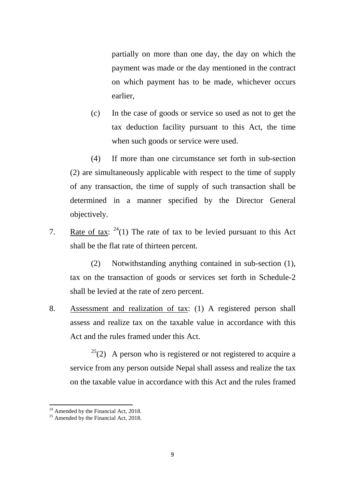partially on more than one day, the day on which the payment was made or the day mentioned in the contract on which payment has to be made, whichever occurs earlier,

(c) In the case of goods or service so used as not to get the tax deduction facility pursuant to this Act, the time when such goods or service were used.

(4) If more than one circumstance set forth in sub-section (2) are simultaneously applicable with respect to the time of supply of any transaction, the time of supply of such transaction shall be determined in a manner specified by the Director General objectively.

7. Rate of tax:  $2^4(1)$  The rate of tax to be levied pursuant to this Act shall be the flat rate of thirteen percent.

(2) Notwithstanding anything contained in sub-section (1), tax on the transaction of goods or services set forth in Schedule-2 shall be levied at the rate of zero percent.

8. Assessment and realization of tax: (1) A registered person shall assess and realize tax on the taxable value in accordance with this Act and the rules framed under this Act.

 $25(2)$  $25(2)$  A person who is registered or not registered to acquire a service from any person outside Nepal shall assess and realize the tax on the taxable value in accordance with this Act and the rules framed

<span id="page-8-0"></span><sup>&</sup>lt;sup>24</sup> Amended by the Financial Act, 2018.<br><sup>25</sup> Amended by the Financial Act, 2018.

<span id="page-8-1"></span>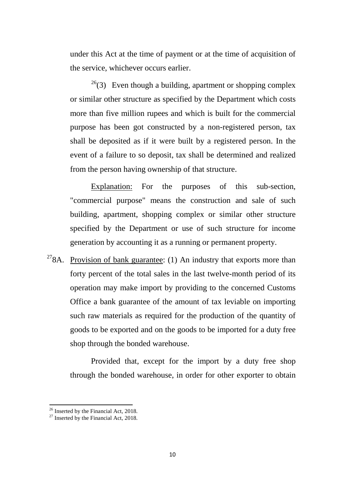under this Act at the time of payment or at the time of acquisition of the service, whichever occurs earlier.

 $^{26}$ (3) Even though a building, apartment or shopping complex or similar other structure as specified by the Department which costs more than five million rupees and which is built for the commercial purpose has been got constructed by a non-registered person, tax shall be deposited as if it were built by a registered person. In the event of a failure to so deposit, tax shall be determined and realized from the person having ownership of that structure.

Explanation: For the purposes of this sub-section, "commercial purpose" means the construction and sale of such building, apartment, shopping complex or similar other structure specified by the Department or use of such structure for income generation by accounting it as a running or permanent property.

<sup>[27](#page-9-1)</sup>8A. Provision o<u>f bank guarantee</u>: (1) An industry that exports more than forty percent of the total sales in the last twelve-month period of its operation may make import by providing to the concerned Customs Office a bank guarantee of the amount of tax leviable on importing such raw materials as required for the production of the quantity of goods to be exported and on the goods to be imported for a duty free shop through the bonded warehouse.

Provided that, except for the import by a duty free shop through the bonded warehouse, in order for other exporter to obtain

<span id="page-9-0"></span><sup>&</sup>lt;sup>26</sup> Inserted by the Financial Act, 2018.<br><sup>27</sup> Inserted by the Financial Act, 2018.

<span id="page-9-1"></span>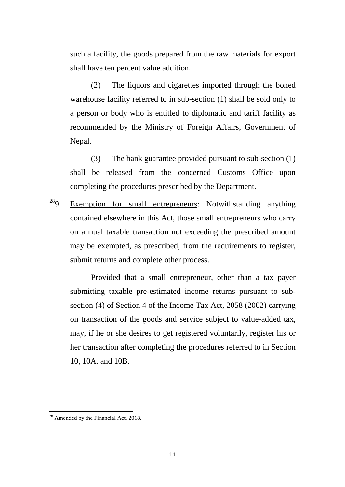such a facility, the goods prepared from the raw materials for export shall have ten percent value addition.

(2) The liquors and cigarettes imported through the boned warehouse facility referred to in sub-section (1) shall be sold only to a person or body who is entitled to diplomatic and tariff facility as recommended by the Ministry of Foreign Affairs, Government of Nepal.

(3) The bank guarantee provided pursuant to sub-section (1) shall be released from the concerned Customs Office upon completing the procedures prescribed by the Department.

 $289$ . Exemption for small entrepreneurs: Notwithstanding anything contained elsewhere in this Act, those small entrepreneurs who carry on annual taxable transaction not exceeding the prescribed amount may be exempted, as prescribed, from the requirements to register, submit returns and complete other process.

Provided that a small entrepreneur, other than a tax payer submitting taxable pre-estimated income returns pursuant to subsection (4) of Section 4 of the Income Tax Act, 2058 (2002) carrying on transaction of the goods and service subject to value-added tax, may, if he or she desires to get registered voluntarily, register his or her transaction after completing the procedures referred to in Section 10, 10A. and 10B.

<span id="page-10-0"></span> $28$  Amended by the Financial Act, 2018.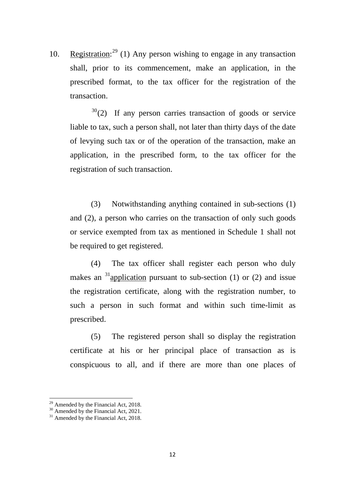10. Registration:<sup>[29](#page-11-0)</sup> (1) Any person wishing to engage in any transaction shall, prior to its commencement, make an application, in the prescribed format, to the tax officer for the registration of the transaction.

 $30(2)$  $30(2)$  If any person carries transaction of goods or service liable to tax, such a person shall, not later than thirty days of the date of levying such tax or of the operation of the transaction, make an application, in the prescribed form, to the tax officer for the registration of such transaction.

(3) Notwithstanding anything contained in sub-sections (1) and (2), a person who carries on the transaction of only such goods or service exempted from tax as mentioned in Schedule 1 shall not be required to get registered.

(4) The tax officer shall register each person who duly makes an <sup>[31](#page-11-2)</sup>application pursuant to sub-section (1) or (2) and issue the registration certificate, along with the registration number, to such a person in such format and within such time-limit as prescribed.

(5) The registered person shall so display the registration certificate at his or her principal place of transaction as is conspicuous to all, and if there are more than one places of

 $\overline{\phantom{a}}$ 

<span id="page-11-0"></span><sup>&</sup>lt;sup>29</sup> Amended by the Financial Act, 2018.<br><sup>30</sup> Amended by the Financial Act, 2021.<br><sup>31</sup> Amended by the Financial Act, 2018.

<span id="page-11-1"></span>

<span id="page-11-2"></span>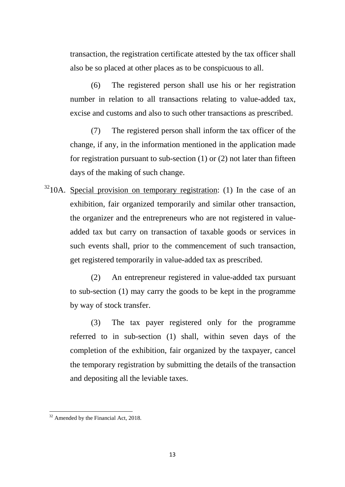transaction, the registration certificate attested by the tax officer shall also be so placed at other places as to be conspicuous to all.

(6) The registered person shall use his or her registration number in relation to all transactions relating to value-added tax, excise and customs and also to such other transactions as prescribed.

(7) The registered person shall inform the tax officer of the change, if any, in the information mentioned in the application made for registration pursuant to sub-section (1) or (2) not later than fifteen days of the making of such change.

 $3210A$  $3210A$ . Special provision on temporary registration: (1) In the case of an exhibition, fair organized temporarily and similar other transaction, the organizer and the entrepreneurs who are not registered in valueadded tax but carry on transaction of taxable goods or services in such events shall, prior to the commencement of such transaction, get registered temporarily in value-added tax as prescribed.

> (2) An entrepreneur registered in value-added tax pursuant to sub-section (1) may carry the goods to be kept in the programme by way of stock transfer.

> (3) The tax payer registered only for the programme referred to in sub-section (1) shall, within seven days of the completion of the exhibition, fair organized by the taxpayer, cancel the temporary registration by submitting the details of the transaction and depositing all the leviable taxes.

<span id="page-12-0"></span> $32$  Amended by the Financial Act, 2018. **.**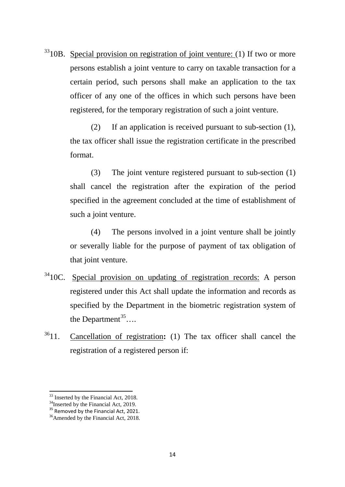$3310B$  $3310B$ . Special provision on registration of joint venture: (1) If two or more persons establish a joint venture to carry on taxable transaction for a certain period, such persons shall make an application to the tax officer of any one of the offices in which such persons have been registered, for the temporary registration of such a joint venture.

> (2) If an application is received pursuant to sub-section (1), the tax officer shall issue the registration certificate in the prescribed format.

> (3) The joint venture registered pursuant to sub-section (1) shall cancel the registration after the expiration of the period specified in the agreement concluded at the time of establishment of such a joint venture.

> (4) The persons involved in a joint venture shall be jointly or severally liable for the purpose of payment of tax obligation of that joint venture.

- <sup>34</sup>10C. Special provision on updating of registration records: A person registered under this Act shall update the information and records as specified by the Department in the biometric registration system of the Department<sup>[35](#page-13-2)</sup>...
- [361](#page-13-3)1. Cancellation of registration**:** (1) The tax officer shall cancel the registration of a registered person if:

<span id="page-13-0"></span><sup>&</sup>lt;sup>33</sup> Inserted by the Financial Act, 2018.

<span id="page-13-2"></span>

<span id="page-13-1"></span><sup>&</sup>lt;sup>34</sup>Inserted by the Financial Act, 2019.<br><sup>35</sup> Removed by the Financial Act, 2021.<br><sup>36</sup>Amended by the Financial Act, 2018.

<span id="page-13-3"></span>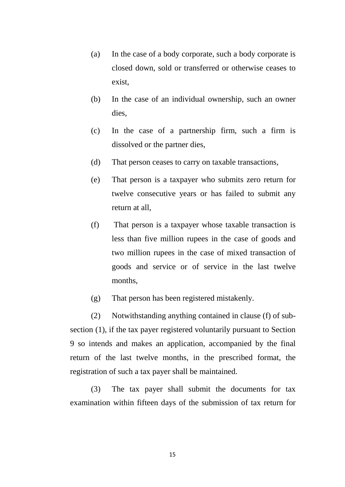- (a) In the case of a body corporate, such a body corporate is closed down, sold or transferred or otherwise ceases to exist,
- (b) In the case of an individual ownership, such an owner dies,
- (c) In the case of a partnership firm, such a firm is dissolved or the partner dies,
- (d) That person ceases to carry on taxable transactions,
- (e) That person is a taxpayer who submits zero return for twelve consecutive years or has failed to submit any return at all,
- (f) That person is a taxpayer whose taxable transaction is less than five million rupees in the case of goods and two million rupees in the case of mixed transaction of goods and service or of service in the last twelve months,
- (g) That person has been registered mistakenly.

(2) Notwithstanding anything contained in clause (f) of subsection (1), if the tax payer registered voluntarily pursuant to Section 9 so intends and makes an application, accompanied by the final return of the last twelve months, in the prescribed format, the registration of such a tax payer shall be maintained.

(3) The tax payer shall submit the documents for tax examination within fifteen days of the submission of tax return for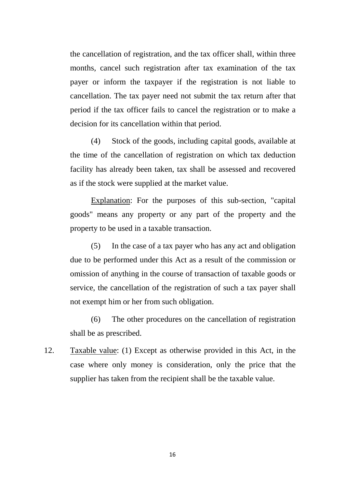the cancellation of registration, and the tax officer shall, within three months, cancel such registration after tax examination of the tax payer or inform the taxpayer if the registration is not liable to cancellation. The tax payer need not submit the tax return after that period if the tax officer fails to cancel the registration or to make a decision for its cancellation within that period.

(4) Stock of the goods, including capital goods, available at the time of the cancellation of registration on which tax deduction facility has already been taken, tax shall be assessed and recovered as if the stock were supplied at the market value.

Explanation: For the purposes of this sub-section, "capital goods" means any property or any part of the property and the property to be used in a taxable transaction.

(5) In the case of a tax payer who has any act and obligation due to be performed under this Act as a result of the commission or omission of anything in the course of transaction of taxable goods or service, the cancellation of the registration of such a tax payer shall not exempt him or her from such obligation.

(6) The other procedures on the cancellation of registration shall be as prescribed.

12. Taxable value: (1) Except as otherwise provided in this Act, in the case where only money is consideration, only the price that the supplier has taken from the recipient shall be the taxable value.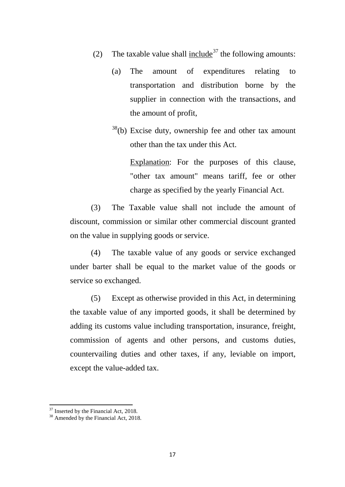- (2) The taxable value shall include<sup>[37](#page-16-0)</sup> the following amounts:
	- (a) The amount of expenditures relating to transportation and distribution borne by the supplier in connection with the transactions, and the amount of profit,
	- $38<sup>38</sup>$ (b) Excise duty, ownership fee and other tax amount other than the tax under this Act.

Explanation: For the purposes of this clause, "other tax amount" means tariff, fee or other charge as specified by the yearly Financial Act.

(3) The Taxable value shall not include the amount of discount, commission or similar other commercial discount granted on the value in supplying goods or service.

(4) The taxable value of any goods or service exchanged under barter shall be equal to the market value of the goods or service so exchanged.

(5) Except as otherwise provided in this Act, in determining the taxable value of any imported goods, it shall be determined by adding its customs value including transportation, insurance, freight, commission of agents and other persons, and customs duties, countervailing duties and other taxes, if any, leviable on import, except the value-added tax.

<span id="page-16-1"></span><span id="page-16-0"></span> $37 \text{ Inserted by the Financial Act, 2018.}$ <br> $38 \text{ Amenteded by the Financial Act, 2018.}$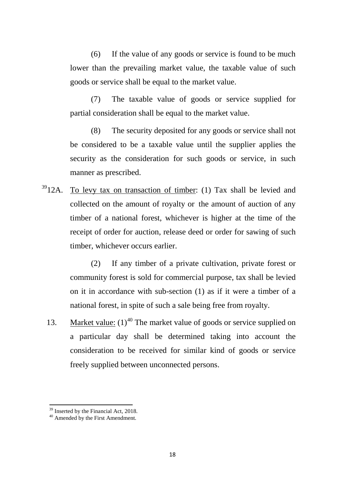(6) If the value of any goods or service is found to be much lower than the prevailing market value, the taxable value of such goods or service shall be equal to the market value.

(7) The taxable value of goods or service supplied for partial consideration shall be equal to the market value.

(8) The security deposited for any goods or service shall not be considered to be a taxable value until the supplier applies the security as the consideration for such goods or service, in such manner as prescribed.

 $3912A$  $3912A$ . To levy tax on transaction of timber: (1) Tax shall be levied and collected on the amount of royalty or the amount of auction of any timber of a national forest, whichever is higher at the time of the receipt of order for auction, release deed or order for sawing of such timber, whichever occurs earlier.

> (2) If any timber of a private cultivation, private forest or community forest is sold for commercial purpose, tax shall be levied on it in accordance with sub-section (1) as if it were a timber of a national forest, in spite of such a sale being free from royalty.

13. Market value:  $(1)^{40}$  $(1)^{40}$  $(1)^{40}$  The market value of goods or service supplied on a particular day shall be determined taking into account the consideration to be received for similar kind of goods or service freely supplied between unconnected persons.

<span id="page-17-0"></span> $39 \text{ Inserted by the Financial Act, 2018.}$   $40 \text{ Amenteded by the First Amentedment.}$ 

<span id="page-17-1"></span>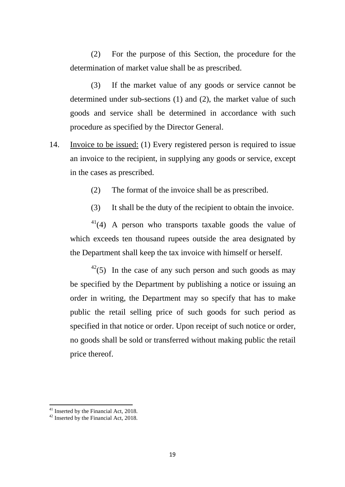(2) For the purpose of this Section, the procedure for the determination of market value shall be as prescribed.

(3) If the market value of any goods or service cannot be determined under sub-sections (1) and (2), the market value of such goods and service shall be determined in accordance with such procedure as specified by the Director General.

- 14. Invoice to be issued: (1) Every registered person is required to issue an invoice to the recipient, in supplying any goods or service, except in the cases as prescribed.
	- (2) The format of the invoice shall be as prescribed.
	- (3) It shall be the duty of the recipient to obtain the invoice.

 $41(4)$  $41(4)$  A person who transports taxable goods the value of which exceeds ten thousand rupees outside the area designated by the Department shall keep the tax invoice with himself or herself.

 $42$ (5) In the case of any such person and such goods as may be specified by the Department by publishing a notice or issuing an order in writing, the Department may so specify that has to make public the retail selling price of such goods for such period as specified in that notice or order. Upon receipt of such notice or order, no goods shall be sold or transferred without making public the retail price thereof.

<span id="page-18-0"></span><sup>&</sup>lt;sup>41</sup> Inserted by the Financial Act, 2018.<br><sup>42</sup> Inserted by the Financial Act, 2018.

<span id="page-18-1"></span>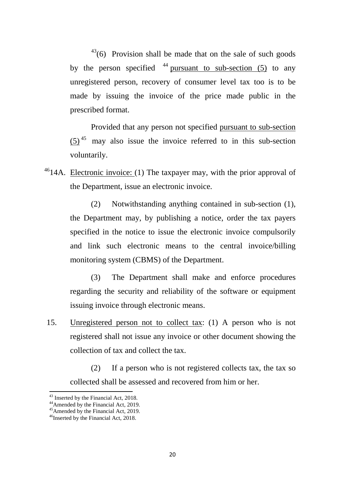$^{43}$ (6) Provision shall be made that on the sale of such goods by the person specified  $44$  pursuant to sub-section (5) to any unregistered person, recovery of consumer level tax too is to be made by issuing the invoice of the price made public in the prescribed format.

Provided that any person not specified pursuant to sub-section  $(5)^{45}$  $(5)^{45}$  $(5)^{45}$  may also issue the invoice referred to in this sub-section voluntarily.

 $4614A$  $4614A$ . Electronic invoice: (1) The taxpayer may, with the prior approval of the Department, issue an electronic invoice.

> (2) Notwithstanding anything contained in sub-section (1), the Department may, by publishing a notice, order the tax payers specified in the notice to issue the electronic invoice compulsorily and link such electronic means to the central invoice/billing monitoring system (CBMS) of the Department.

> (3) The Department shall make and enforce procedures regarding the security and reliability of the software or equipment issuing invoice through electronic means.

15. Unregistered person not to collect tax: (1) A person who is not registered shall not issue any invoice or other document showing the collection of tax and collect the tax.

(2) If a person who is not registered collects tax, the tax so collected shall be assessed and recovered from him or her.

<span id="page-19-2"></span><span id="page-19-1"></span>

<span id="page-19-0"></span><sup>&</sup>lt;sup>43</sup> Inserted by the Financial Act, 2018.<br><sup>44</sup>Amended by the Financial Act, 2019.<br><sup>45</sup>Amended by the Financial Act, 2019.<br><sup>46</sup>Inserted by the Financial Act, 2018.

<span id="page-19-3"></span>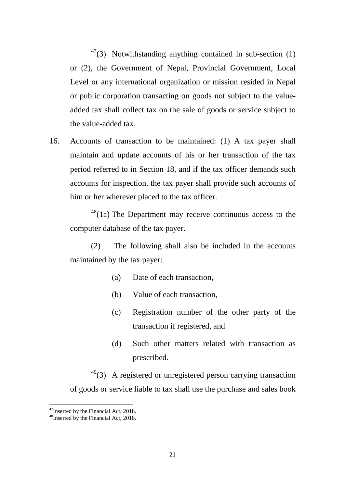$47$ (3) Notwithstanding anything contained in sub-section (1) or (2), the Government of Nepal, Provincial Government, Local Level or any international organization or mission resided in Nepal or public corporation transacting on goods not subject to the valueadded tax shall collect tax on the sale of goods or service subject to the value-added tax.

16. Accounts of transaction to be maintained: (1) A tax payer shall maintain and update accounts of his or her transaction of the tax period referred to in Section 18, and if the tax officer demands such accounts for inspection, the tax payer shall provide such accounts of him or her wherever placed to the tax officer.

 $48(1a)$  $48(1a)$  The Department may receive continuous access to the computer database of the tax payer.

(2) The following shall also be included in the accounts maintained by the tax payer:

- (a) Date of each transaction,
- (b) Value of each transaction,
- (c) Registration number of the other party of the transaction if registered, and
- (d) Such other matters related with transaction as prescribed.

 $49$ (3) A registered or unregistered person carrying transaction of goods or service liable to tax shall use the purchase and sales book

<span id="page-20-2"></span><span id="page-20-0"></span><sup>&</sup>lt;sup>47</sup>Inserted by the Financial Act, 2018.<br><sup>48</sup>Inserted by the Financial Act, 2018.

<span id="page-20-1"></span>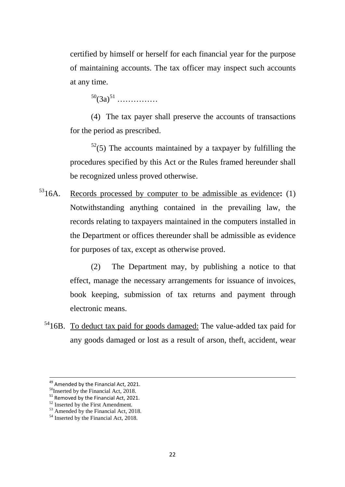certified by himself or herself for each financial year for the purpose of maintaining accounts. The tax officer may inspect such accounts at any time.

 $50(3a)^{51}$  $50(3a)^{51}$  $50(3a)^{51}$  $50(3a)^{51}$  ……………

(4) The tax payer shall preserve the accounts of transactions for the period as prescribed.

 $52(5)$  $52(5)$  The accounts maintained by a taxpayer by fulfilling the procedures specified by this Act or the Rules framed hereunder shall be recognized unless proved otherwise.

[531](#page-21-3)6A. Records processed by computer to be admissible as evidence**:** (1) Notwithstanding anything contained in the prevailing law, the records relating to taxpayers maintained in the computers installed in the Department or offices thereunder shall be admissible as evidence for purposes of tax, except as otherwise proved.

> (2) The Department may, by publishing a notice to that effect, manage the necessary arrangements for issuance of invoices, book keeping, submission of tax returns and payment through electronic means.

 $5416B$  $5416B$ . To deduct tax paid for goods damaged: The value-added tax paid for any goods damaged or lost as a result of arson, theft, accident, wear

<span id="page-21-1"></span>

<span id="page-21-3"></span><span id="page-21-2"></span>

<span id="page-21-0"></span><sup>&</sup>lt;sup>49</sup> Amended by the Financial Act, 2021.<br><sup>50</sup>Inserted by the Financial Act, 2018.<br><sup>51</sup> Removed by the Financial Act, 2021.<br><sup>52</sup> Inserted by the First Amendment.<br><sup>53</sup> Amended by the Financial Act, 2018.<br><sup>54</sup> Inserted by th

<span id="page-21-4"></span>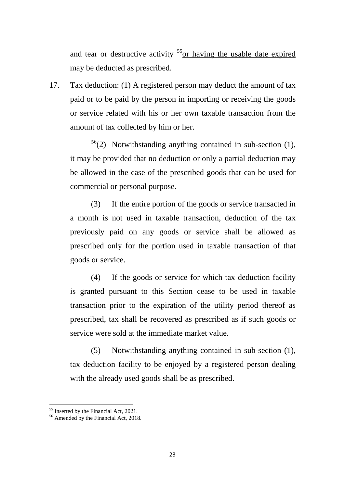and tear or destructive activity <sup>55</sup><sub>or having the usable date expired</sub> may be deducted as prescribed.

17. Tax deduction: (1) A registered person may deduct the amount of tax paid or to be paid by the person in importing or receiving the goods or service related with his or her own taxable transaction from the amount of tax collected by him or her.

 $56(2)$  $56(2)$  Notwithstanding anything contained in sub-section (1), it may be provided that no deduction or only a partial deduction may be allowed in the case of the prescribed goods that can be used for commercial or personal purpose.

(3) If the entire portion of the goods or service transacted in a month is not used in taxable transaction, deduction of the tax previously paid on any goods or service shall be allowed as prescribed only for the portion used in taxable transaction of that goods or service.

(4) If the goods or service for which tax deduction facility is granted pursuant to this Section cease to be used in taxable transaction prior to the expiration of the utility period thereof as prescribed, tax shall be recovered as prescribed as if such goods or service were sold at the immediate market value.

(5) Notwithstanding anything contained in sub-section (1), tax deduction facility to be enjoyed by a registered person dealing with the already used goods shall be as prescribed.

<span id="page-22-0"></span> $55$  Inserted by the Financial Act, 2021.<br> $56$  Amended by the Financial Act, 2018.

<span id="page-22-1"></span>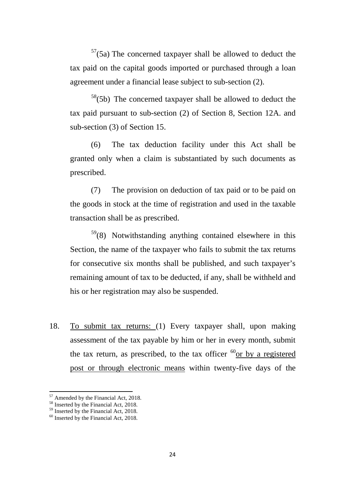$57(5a)$  $57(5a)$  The concerned taxpayer shall be allowed to deduct the tax paid on the capital goods imported or purchased through a loan agreement under a financial lease subject to sub-section (2).

 $58(5b)$  $58(5b)$  The concerned taxpayer shall be allowed to deduct the tax paid pursuant to sub-section (2) of Section 8, Section 12A. and sub-section (3) of Section 15.

(6) The tax deduction facility under this Act shall be granted only when a claim is substantiated by such documents as prescribed.

(7) The provision on deduction of tax paid or to be paid on the goods in stock at the time of registration and used in the taxable transaction shall be as prescribed.

 $59(8)$  $59(8)$  Notwithstanding anything contained elsewhere in this Section, the name of the taxpayer who fails to submit the tax returns for consecutive six months shall be published, and such taxpayer's remaining amount of tax to be deducted, if any, shall be withheld and his or her registration may also be suspended.

18. To submit tax returns: (1) Every taxpayer shall, upon making assessment of the tax payable by him or her in every month, submit the tax return, as prescribed, to the tax officer  $^{60}$  $^{60}$  $^{60}$  or by a registered post or through electronic means within twenty-five days of the

<span id="page-23-0"></span><sup>&</sup>lt;sup>57</sup> Amended by the Financial Act, 2018.

<span id="page-23-1"></span><sup>&</sup>lt;sup>58</sup> Inserted by the Financial Act, 2018.<br><sup>59</sup> Inserted by the Financial Act, 2018.<br><sup>60</sup> Inserted by the Financial Act, 2018.

<span id="page-23-2"></span>

<span id="page-23-3"></span>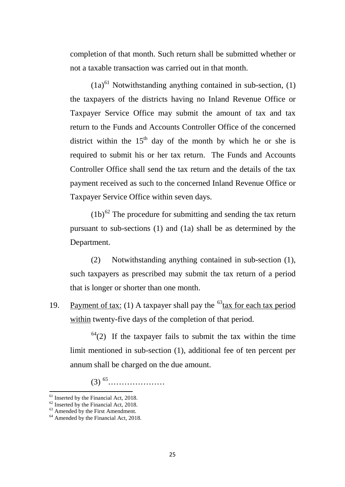completion of that month. Such return shall be submitted whether or not a taxable transaction was carried out in that month.

 $(1a)^{61}$  $(1a)^{61}$  $(1a)^{61}$  Notwithstanding anything contained in sub-section, (1) the taxpayers of the districts having no Inland Revenue Office or Taxpayer Service Office may submit the amount of tax and tax return to the Funds and Accounts Controller Office of the concerned district within the  $15<sup>th</sup>$  day of the month by which he or she is required to submit his or her tax return. The Funds and Accounts Controller Office shall send the tax return and the details of the tax payment received as such to the concerned Inland Revenue Office or Taxpayer Service Office within seven days.

 $(1b)^{62}$  $(1b)^{62}$  $(1b)^{62}$  The procedure for submitting and sending the tax return pursuant to sub-sections (1) and (1a) shall be as determined by the Department.

(2) Notwithstanding anything contained in sub-section (1), such taxpayers as prescribed may submit the tax return of a period that is longer or shorter than one month.

19. Payment of tax: (1) A taxpayer shall pay the  $^{63}$  $^{63}$  $^{63}$ tax for each tax period within twenty-five days of the completion of that period.

 $64(2)$  $64(2)$  If the taxpayer fails to submit the tax within the time limit mentioned in sub-section (1), additional fee of ten percent per annum shall be charged on the due amount.

(3) [65](#page-24-4)…………………

<span id="page-24-4"></span><span id="page-24-0"></span><sup>&</sup>lt;sup>61</sup> Inserted by the Financial Act, 2018.<br><sup>62</sup> Inserted by the Financial Act, 2018.<br><sup>63</sup> Amended by the Financial Act, 2018.

<span id="page-24-2"></span><span id="page-24-1"></span>

<span id="page-24-3"></span>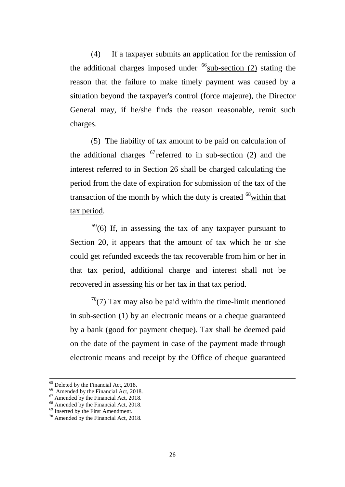(4) If a taxpayer submits an application for the remission of the additional charges imposed under  $^{66}$  $^{66}$  $^{66}$ sub-section (2) stating the reason that the failure to make timely payment was caused by a situation beyond the taxpayer's control (force majeure), the Director General may, if he/she finds the reason reasonable, remit such charges.

(5) The liability of tax amount to be paid on calculation of the additional charges  $67$  referred to in sub-section (2) and the interest referred to in Section 26 shall be charged calculating the period from the date of expiration for submission of the tax of the transaction of the month by which the duty is created  $^{68}$  $^{68}$  $^{68}$  within that tax period.

 $69$ (6) If, in assessing the tax of any taxpayer pursuant to Section 20, it appears that the amount of tax which he or she could get refunded exceeds the tax recoverable from him or her in that tax period, additional charge and interest shall not be recovered in assessing his or her tax in that tax period.

 $70(7)$  $70(7)$  Tax may also be paid within the time-limit mentioned in sub-section (1) by an electronic means or a cheque guaranteed by a bank (good for payment cheque). Tax shall be deemed paid on the date of the payment in case of the payment made through electronic means and receipt by the Office of cheque guaranteed

<span id="page-25-2"></span><span id="page-25-1"></span>

<span id="page-25-0"></span><sup>&</sup>lt;sup>65</sup> Deleted by the Financial Act, 2018.<br><sup>66</sup> Amended by the Financial Act, 2018.<br><sup>67</sup> Amended by the Financial Act, 2018.<br><sup>68</sup> Amended by the Financial Act, 2018.<br><sup>69</sup> Inserted by the First Amendment.<br><sup>70</sup> Amended by the

<span id="page-25-3"></span>

<span id="page-25-4"></span>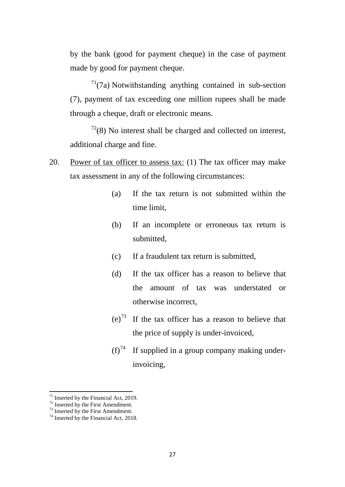by the bank (good for payment cheque) in the case of payment made by good for payment cheque.

 $7^{1}(7a)$  Notwithstanding anything contained in sub-section (7), payment of tax exceeding one million rupees shall be made through a cheque, draft or electronic means.

 $72(8)$  $72(8)$  No interest shall be charged and collected on interest, additional charge and fine.

- 20. Power of tax officer to assess tax: (1) The tax officer may make tax assessment in any of the following circumstances:
	- (a) If the tax return is not submitted within the time limit,
	- (b) If an incomplete or erroneous tax return is submitted,
	- (c) If a fraudulent tax return is submitted,
	- (d) If the tax officer has a reason to believe that the amount of tax was understated or otherwise incorrect,
	- $(e)^{73}$  $(e)^{73}$  $(e)^{73}$  If the tax officer has a reason to believe that the price of supply is under-invoiced,
	- $(f)^{74}$  $(f)^{74}$  $(f)^{74}$  If supplied in a group company making underinvoicing,

<span id="page-26-1"></span><span id="page-26-0"></span><sup>&</sup>lt;sup>71</sup> Inserted by the Financial Act, 2019.<br><sup>72</sup> Inserted by the First Amendment.<br><sup>73</sup> Inserted by the Financial Act, 2018.

<span id="page-26-2"></span>

<span id="page-26-3"></span>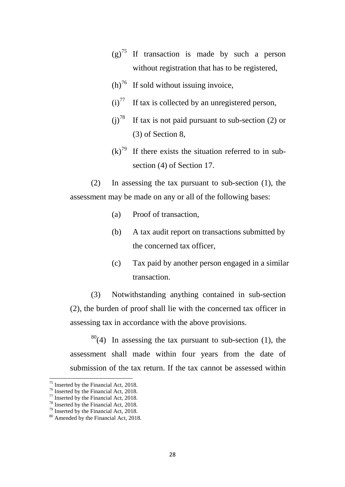- $(g)^{75}$  $(g)^{75}$  $(g)^{75}$  If transaction is made by such a person without registration that has to be registered,
- $(h)$ <sup>[76](#page-27-1)</sup> If sold without issuing invoice,
- $(i)$ <sup>[77](#page-27-2)</sup> If tax is collected by an unregistered person,
- (i)<sup>[78](#page-27-3)</sup> If tax is not paid pursuant to sub-section (2) or (3) of Section 8,
- $(k)^{79}$  $(k)^{79}$  $(k)^{79}$  If there exists the situation referred to in subsection (4) of Section 17.

(2) In assessing the tax pursuant to sub-section (1), the assessment may be made on any or all of the following bases:

- (a) Proof of transaction,
- (b) A tax audit report on transactions submitted by the concerned tax officer,
- (c) Tax paid by another person engaged in a similar transaction.

(3) Notwithstanding anything contained in sub-section (2), the burden of proof shall lie with the concerned tax officer in assessing tax in accordance with the above provisions.

 $80(4)$  $80(4)$  In assessing the tax pursuant to sub-section (1), the assessment shall made within four years from the date of submission of the tax return. If the tax cannot be assessed within

<span id="page-27-0"></span><sup>&</sup>lt;sup>75</sup> Inserted by the Financial Act, 2018.<br><sup>76</sup> Inserted by the Financial Act, 2018.<br><sup>77</sup> Inserted by the Financial Act, 2018.<br><sup>78</sup> Inserted by the Financial Act, 2018.<br><sup>79</sup> Inserted by the Financial Act, 2018.<br><sup>80</sup> Amende

<span id="page-27-1"></span>

<span id="page-27-2"></span>

<span id="page-27-3"></span>

<span id="page-27-4"></span>

<span id="page-27-5"></span>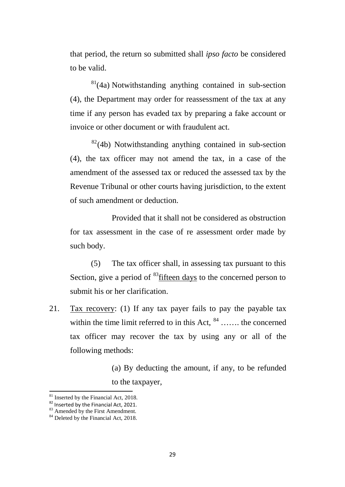that period, the return so submitted shall *ipso facto* be considered to be valid.

 $81(4a)$  $81(4a)$  Notwithstanding anything contained in sub-section (4), the Department may order for reassessment of the tax at any time if any person has evaded tax by preparing a fake account or invoice or other document or with fraudulent act.

 $82(4b)$  $82(4b)$  Notwithstanding anything contained in sub-section (4), the tax officer may not amend the tax, in a case of the amendment of the assessed tax or reduced the assessed tax by the Revenue Tribunal or other courts having jurisdiction, to the extent of such amendment or deduction.

Provided that it shall not be considered as obstruction for tax assessment in the case of re assessment order made by such body.

(5) The tax officer shall, in assessing tax pursuant to this Section, give a period of <sup>83</sup> fifteen days to the concerned person to submit his or her clarification.

21. Tax recovery: (1) If any tax payer fails to pay the payable tax within the time limit referred to in this Act,  $84$  ……. the concerned tax officer may recover the tax by using any or all of the following methods:

> (a) By deducting the amount, if any, to be refunded to the taxpayer,

<sup>&</sup>lt;sup>81</sup> Inserted by the Financial Act, 2018.

<span id="page-28-2"></span><span id="page-28-1"></span><span id="page-28-0"></span><sup>&</sup>lt;sup>82</sup> Inserted by the Financial Act, 2021.<br><sup>83</sup> Amended by the First Amendment.<br><sup>84</sup> Deleted by the Financial Act, 2018.

<span id="page-28-3"></span>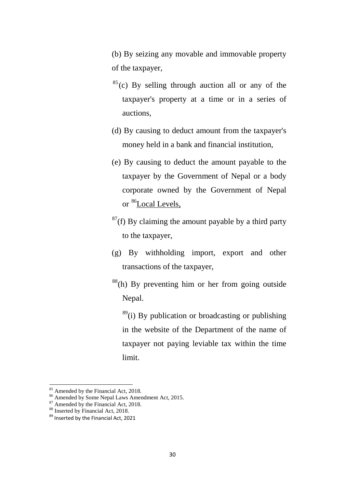(b) By seizing any movable and immovable property of the taxpayer,

- $^{85}$  $^{85}$  $^{85}$ (c) By selling through auction all or any of the taxpayer's property at a time or in a series of auctions,
- (d) By causing to deduct amount from the taxpayer's money held in a bank and financial institution,
- (e) By causing to deduct the amount payable to the taxpayer by the Government of Nepal or a body corporate owned by the Government of Nepal or [86L](#page-29-1)ocal Levels,
- $87(f)$  $87(f)$  By claiming the amount payable by a third party to the taxpayer,
- (g) By withholding import, export and other transactions of the taxpayer,
- $88(h)$  $88(h)$  By preventing him or her from going outside Nepal.

 $89$ <sup>(i)</sup> By publication or broadcasting or publishing in the website of the Department of the name of taxpayer not paying leviable tax within the time limit.

<sup>&</sup>lt;sup>85</sup> Amended by the Financial Act, 2018.

<span id="page-29-1"></span><span id="page-29-0"></span><sup>&</sup>lt;sup>86</sup> Amended by Some Nepal Laws Amendment Act, 2015.<br><sup>87</sup> Amended by the Financial Act, 2018.<br><sup>88</sup> Inserted by the Financial Act, 2021

<span id="page-29-2"></span>

<span id="page-29-3"></span>

<span id="page-29-4"></span>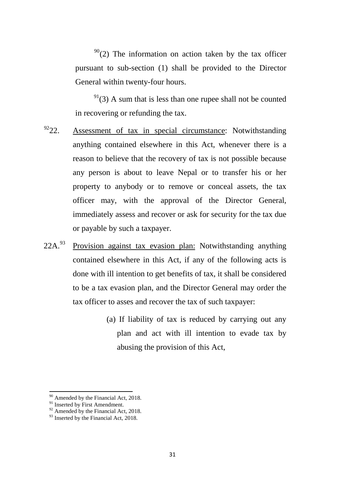$90(2)$  $90(2)$  The information on action taken by the tax officer pursuant to sub-section (1) shall be provided to the Director General within twenty-four hours.

 $91(3)$  $91(3)$  A sum that is less than one rupee shall not be counted in recovering or refunding the tax.

- $9222$  $9222$ . Assessment of tax in special circumstance: Notwithstanding anything contained elsewhere in this Act, whenever there is a reason to believe that the recovery of tax is not possible because any person is about to leave Nepal or to transfer his or her property to anybody or to remove or conceal assets, the tax officer may, with the approval of the Director General, immediately assess and recover or ask for security for the tax due or payable by such a taxpayer.
- $22A.<sup>93</sup>$  $22A.<sup>93</sup>$  $22A.<sup>93</sup>$  Provision against tax evasion plan: Notwithstanding anything contained elsewhere in this Act, if any of the following acts is done with ill intention to get benefits of tax, it shall be considered to be a tax evasion plan, and the Director General may order the tax officer to asses and recover the tax of such taxpayer:
	- (a) If liability of tax is reduced by carrying out any plan and act with ill intention to evade tax by abusing the provision of this Act,

<sup>&</sup>lt;sup>90</sup> Amended by the Financial Act, 2018.

<span id="page-30-1"></span><span id="page-30-0"></span><sup>&</sup>lt;sup>91</sup> Inserted by First Amendment.<br><sup>92</sup> Amended by the Financial Act, 2018.

<span id="page-30-3"></span><span id="page-30-2"></span><sup>&</sup>lt;sup>93</sup> Inserted by the Financial Act, 2018.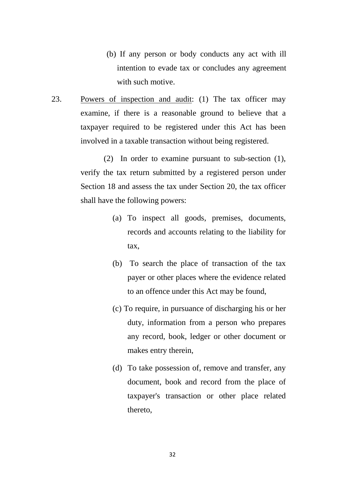- (b) If any person or body conducts any act with ill intention to evade tax or concludes any agreement with such motive.
- 23. Powers of inspection and audit: (1) The tax officer may examine, if there is a reasonable ground to believe that a taxpayer required to be registered under this Act has been involved in a taxable transaction without being registered.

(2) In order to examine pursuant to sub-section (1), verify the tax return submitted by a registered person under Section 18 and assess the tax under Section 20, the tax officer shall have the following powers:

- (a) To inspect all goods, premises, documents, records and accounts relating to the liability for tax,
- (b) To search the place of transaction of the tax payer or other places where the evidence related to an offence under this Act may be found,
- (c) To require, in pursuance of discharging his or her duty, information from a person who prepares any record, book, ledger or other document or makes entry therein,
- (d) To take possession of, remove and transfer, any document, book and record from the place of taxpayer's transaction or other place related thereto,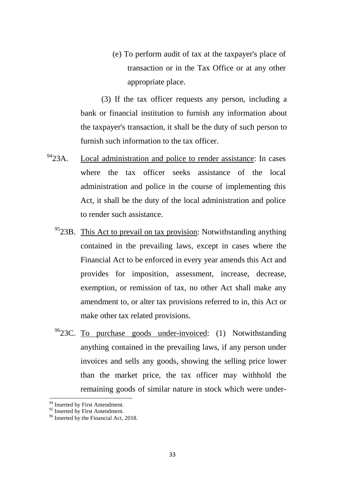(e) To perform audit of tax at the taxpayer's place of transaction or in the Tax Office or at any other appropriate place.

(3) If the tax officer requests any person, including a bank or financial institution to furnish any information about the taxpayer's transaction, it shall be the duty of such person to furnish such information to the tax officer.

- <sup>[94](#page-32-0)</sup>23A. Local administration and police to render assistance: In cases where the tax officer seeks assistance of the local administration and police in the course of implementing this Act, it shall be the duty of the local administration and police to render such assistance.
	- <sup>95</sup>23B. This Act to prevail on tax provision: Notwithstanding anything contained in the prevailing laws, except in cases where the Financial Act to be enforced in every year amends this Act and provides for imposition, assessment, increase, decrease, exemption, or remission of tax, no other Act shall make any amendment to, or alter tax provisions referred to in, this Act or make other tax related provisions.
	- $96$ 23C. To purchase goods under-invoiced: (1) Notwithstanding anything contained in the prevailing laws, if any person under invoices and sells any goods, showing the selling price lower than the market price, the tax officer may withhold the remaining goods of similar nature in stock which were under-

 $\overline{a}$ 

<span id="page-32-0"></span><sup>&</sup>lt;sup>94</sup> Inserted by First Amendment.

<span id="page-32-2"></span><span id="page-32-1"></span> $96$  Inserted by the Financial Act, 2018.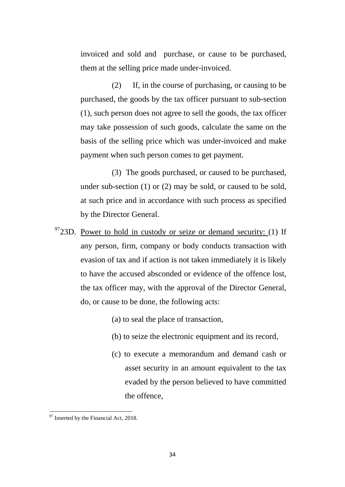invoiced and sold and purchase, or cause to be purchased, them at the selling price made under-invoiced.

(2) If, in the course of purchasing, or causing to be purchased, the goods by the tax officer pursuant to sub-section (1), such person does not agree to sell the goods, the tax officer may take possession of such goods, calculate the same on the basis of the selling price which was under-invoiced and make payment when such person comes to get payment.

(3) The goods purchased, or caused to be purchased, under sub-section (1) or (2) may be sold, or caused to be sold, at such price and in accordance with such process as specified by the Director General.

- $9723D$  $9723D$ . Power to hold in custody or seize or demand security: (1) If any person, firm, company or body conducts transaction with evasion of tax and if action is not taken immediately it is likely to have the accused absconded or evidence of the offence lost, the tax officer may, with the approval of the Director General, do, or cause to be done, the following acts:
	- (a) to seal the place of transaction,
	- (b) to seize the electronic equipment and its record,
	- (c) to execute a memorandum and demand cash or asset security in an amount equivalent to the tax evaded by the person believed to have committed the offence,

<span id="page-33-0"></span><sup>&</sup>lt;sup>97</sup> Inserted by the Financial Act, 2018. **.**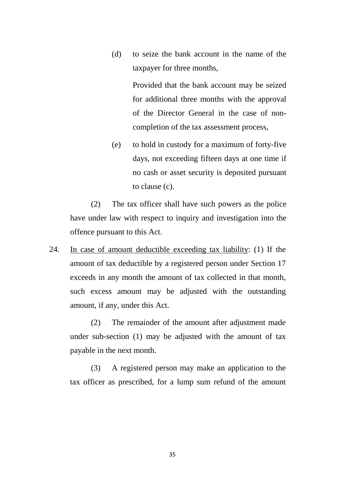(d) to seize the bank account in the name of the taxpayer for three months,

> Provided that the bank account may be seized for additional three months with the approval of the Director General in the case of noncompletion of the tax assessment process,

(e) to hold in custody for a maximum of forty-five days, not exceeding fifteen days at one time if no cash or asset security is deposited pursuant to clause (c).

(2) The tax officer shall have such powers as the police have under law with respect to inquiry and investigation into the offence pursuant to this Act.

24. In case of amount deductible exceeding tax liability: (1) If the amount of tax deductible by a registered person under Section 17 exceeds in any month the amount of tax collected in that month, such excess amount may be adjusted with the outstanding amount, if any, under this Act.

(2) The remainder of the amount after adjustment made under sub-section (1) may be adjusted with the amount of tax payable in the next month.

(3) A registered person may make an application to the tax officer as prescribed, for a lump sum refund of the amount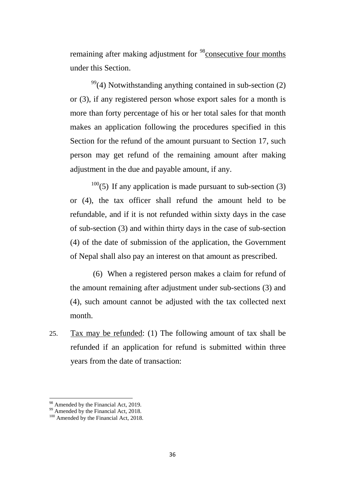remaining after making adjustment for <sup>[98](#page-35-0)</sup>consecutive four months under this Section.

 $99(4)$  $99(4)$  Notwithstanding anything contained in sub-section (2) or (3), if any registered person whose export sales for a month is more than forty percentage of his or her total sales for that month makes an application following the procedures specified in this Section for the refund of the amount pursuant to Section 17, such person may get refund of the remaining amount after making adjustment in the due and payable amount, if any.

 $100(5)$  $100(5)$  If any application is made pursuant to sub-section (3) or (4), the tax officer shall refund the amount held to be refundable, and if it is not refunded within sixty days in the case of sub-section (3) and within thirty days in the case of sub-section (4) of the date of submission of the application, the Government of Nepal shall also pay an interest on that amount as prescribed.

(6) When a registered person makes a claim for refund of the amount remaining after adjustment under sub-sections (3) and (4), such amount cannot be adjusted with the tax collected next month.

25. Tax may be refunded: (1) The following amount of tax shall be refunded if an application for refund is submitted within three years from the date of transaction:

 $\overline{a}$ 

<span id="page-35-1"></span><span id="page-35-0"></span>

<sup>&</sup>lt;sup>98</sup> Amended by the Financial Act, 2019.<br><sup>99</sup> Amended by the Financial Act, 2018.<br><sup>100</sup> Amended by the Financial Act, 2018.

<span id="page-35-2"></span>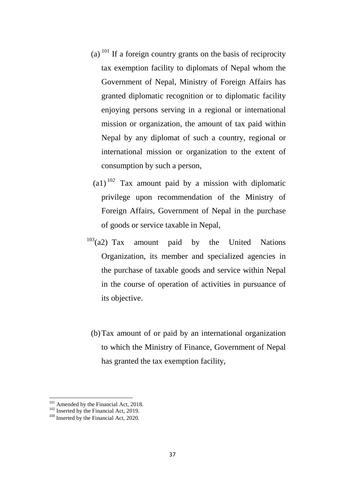- (a)  $^{101}$  $^{101}$  $^{101}$  If a foreign country grants on the basis of reciprocity tax exemption facility to diplomats of Nepal whom the Government of Nepal, Ministry of Foreign Affairs has granted diplomatic recognition or to diplomatic facility enjoying persons serving in a regional or international mission or organization, the amount of tax paid within Nepal by any diplomat of such a country, regional or international mission or organization to the extent of consumption by such a person,
- $(a1)^{102}$  $(a1)^{102}$  $(a1)^{102}$  Tax amount paid by a mission with diplomatic privilege upon recommendation of the Ministry of Foreign Affairs, Government of Nepal in the purchase of goods or service taxable in Nepal,
- $103$ (a2) Tax amount paid by the United Nations Organization, its member and specialized agencies in the purchase of taxable goods and service within Nepal in the course of operation of activities in pursuance of its objective.
	- (b)Tax amount of or paid by an international organization to which the Ministry of Finance, Government of Nepal has granted the tax exemption facility,

<span id="page-36-1"></span><span id="page-36-0"></span><sup>&</sup>lt;sup>101</sup> Amended by the Financial Act, 2018.<br><sup>102</sup> Inserted by the Financial Act, 2019.<br><sup>103</sup> Inserted by the Financial Act, 2020.

<span id="page-36-2"></span>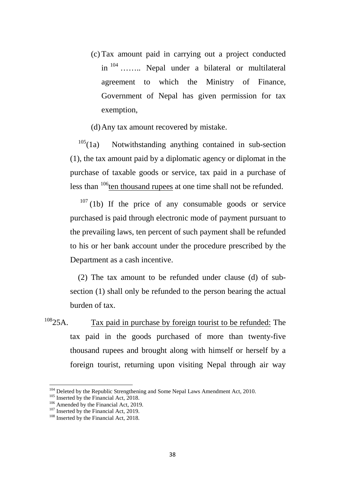- (c) Tax amount paid in carrying out a project conducted in [104](#page-37-0) …….. Nepal under a bilateral or multilateral agreement to which the Ministry of Finance, Government of Nepal has given permission for tax exemption,
- (d)Any tax amount recovered by mistake.

 $105(1a)$  $105(1a)$  Notwithstanding anything contained in sub-section (1), the tax amount paid by a diplomatic agency or diplomat in the purchase of taxable goods or service, tax paid in a purchase of less than  $106$  ten thousand rupees at one time shall not be refunded.

 $107$  (1b) If the price of any consumable goods or service purchased is paid through electronic mode of payment pursuant to the prevailing laws, ten percent of such payment shall be refunded to his or her bank account under the procedure prescribed by the Department as a cash incentive.

(2) The tax amount to be refunded under clause (d) of subsection (1) shall only be refunded to the person bearing the actual burden of tax.

 $108$  25A. Tax paid in purchase by foreign tourist to be refunded: The tax paid in the goods purchased of more than twenty-five thousand rupees and brought along with himself or herself by a foreign tourist, returning upon visiting Nepal through air way

<span id="page-37-1"></span><span id="page-37-0"></span><sup>&</sup>lt;sup>104</sup> Deleted by the Republic Strengthening and Some Nepal Laws Amendment Act, 2010.<br><sup>105</sup> Inserted by the Financial Act, 2018.<br><sup>106</sup> Amended by the Financial Act, 2019.<br><sup>107</sup> Inserted by the Financial Act, 2019.<br><sup>107</sup> In

<span id="page-37-2"></span>

<span id="page-37-3"></span>

<span id="page-37-4"></span>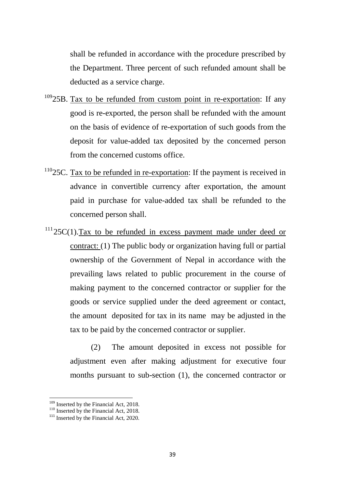shall be refunded in accordance with the procedure prescribed by the Department. Three percent of such refunded amount shall be deducted as a service charge.

- $10925B$  $10925B$ . Tax to be refunded from custom point in re-exportation: If any good is re-exported, the person shall be refunded with the amount on the basis of evidence of re-exportation of such goods from the deposit for value-added tax deposited by the concerned person from the concerned customs office.
- $110$ <sub>25</sub>C. Tax to be refunded in re-exportation: If the payment is received in advance in convertible currency after exportation, the amount paid in purchase for value-added tax shall be refunded to the concerned person shall.
- $11125C(1)$  $11125C(1)$ .Tax to be refunded in excess payment made under deed or contract: (1) The public body or organization having full or partial ownership of the Government of Nepal in accordance with the prevailing laws related to public procurement in the course of making payment to the concerned contractor or supplier for the goods or service supplied under the deed agreement or contact, the amount deposited for tax in its name may be adjusted in the tax to be paid by the concerned contractor or supplier.

(2) The amount deposited in excess not possible for adjustment even after making adjustment for executive four months pursuant to sub-section (1), the concerned contractor or

<span id="page-38-2"></span>

<span id="page-38-1"></span><span id="page-38-0"></span><sup>&</sup>lt;sup>109</sup> Inserted by the Financial Act, 2018.<br><sup>110</sup> Inserted by the Financial Act, 2018.<br><sup>111</sup> Inserted by the Financial Act, 2020.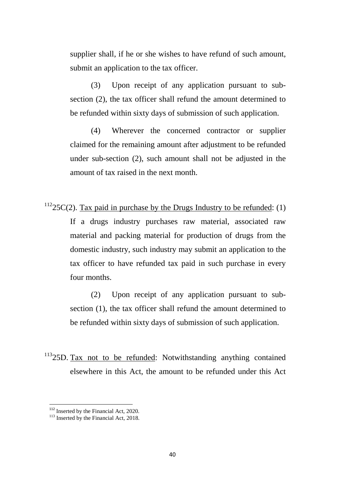supplier shall, if he or she wishes to have refund of such amount, submit an application to the tax officer.

(3) Upon receipt of any application pursuant to subsection (2), the tax officer shall refund the amount determined to be refunded within sixty days of submission of such application.

(4) Wherever the concerned contractor or supplier claimed for the remaining amount after adjustment to be refunded under sub-section (2), such amount shall not be adjusted in the amount of tax raised in the next month.

 $11225C(2)$  $11225C(2)$ . Tax paid in purchase by the Drugs Industry to be refunded: (1) If a drugs industry purchases raw material, associated raw material and packing material for production of drugs from the domestic industry, such industry may submit an application to the tax officer to have refunded tax paid in such purchase in every four months.

> (2) Upon receipt of any application pursuant to subsection (1), the tax officer shall refund the amount determined to be refunded within sixty days of submission of such application.

 $11325D$  $11325D$ . Tax not to be refunded: Notwithstanding anything contained elsewhere in this Act, the amount to be refunded under this Act

<span id="page-39-0"></span><sup>&</sup>lt;sup>112</sup> Inserted by the Financial Act, 2020.<br><sup>113</sup> Inserted by the Financial Act, 2018.

<span id="page-39-1"></span>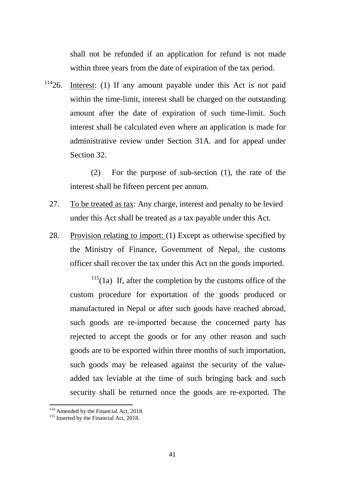shall not be refunded if an application for refund is not made within three years from the date of expiration of the tax period.

 $11426$  $11426$ . Interest: (1) If any amount payable under this Act is not paid within the time-limit, interest shall be charged on the outstanding amount after the date of expiration of such time-limit. Such interest shall be calculated even where an application is made for administrative review under Section 31A. and for appeal under Section 32.

> (2) For the purpose of sub-section (1), the rate of the interest shall be fifteen percent per annum.

- 27. To be treated as tax: Any charge, interest and penalty to be levied under this Act shall be treated as a tax payable under this Act.
- 28. Provision relating to import: (1) Except as otherwise specified by the Ministry of Finance, Government of Nepal, the customs officer shall recover the tax under this Act on the goods imported.

 $115(1a)$  $115(1a)$  If, after the completion by the customs office of the custom procedure for exportation of the goods produced or manufactured in Nepal or after such goods have reached abroad, such goods are re-imported because the concerned party has rejected to accept the goods or for any other reason and such goods are to be exported within three months of such importation, such goods may be released against the security of the valueadded tax leviable at the time of such bringing back and such security shall be returned once the goods are re-exported. The

<span id="page-40-0"></span><sup>&</sup>lt;sup>114</sup> Amended by the Financial Act, 2018.<br><sup>115</sup> Inserted by the Financial Act, 2018.

<span id="page-40-1"></span>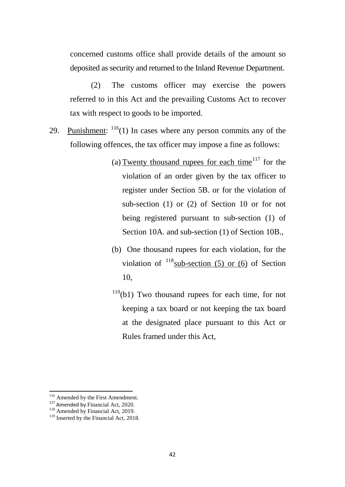concerned customs office shall provide details of the amount so deposited as security and returned to the Inland Revenue Department.

(2) The customs officer may exercise the powers referred to in this Act and the prevailing Customs Act to recover tax with respect to goods to be imported.

- 29. Punishment:  $116(1)$  $116(1)$  In cases where any person commits any of the following offences, the tax officer may impose a fine as follows:
	- (a) Twenty thousand rupees for each time<sup>[117](#page-41-1)</sup> for the violation of an order given by the tax officer to register under Section 5B. or for the violation of sub-section (1) or (2) of Section 10 or for not being registered pursuant to sub-section (1) of Section 10A. and sub-section (1) of Section 10B.,
	- (b) One thousand rupees for each violation, for the violation of  $118$  sub-section (5) or (6) of Section 10,
	- $119(b1)$  $119(b1)$  Two thousand rupees for each time, for not keeping a tax board or not keeping the tax board at the designated place pursuant to this Act or Rules framed under this Act,

<span id="page-41-0"></span><sup>&</sup>lt;sup>116</sup> Amended by the First Amendment.

<span id="page-41-2"></span><span id="page-41-1"></span><sup>&</sup>lt;sup>117</sup> Amended by Financial Act, 2020. <sup>118</sup> Amended by Financial Act, 2019.

<span id="page-41-3"></span><sup>&</sup>lt;sup>119</sup> Inserted by the Financial Act, 2018.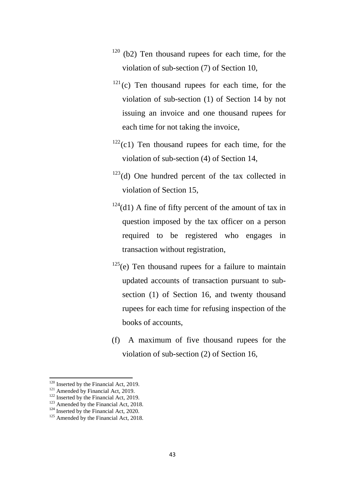- $120$  (b2) Ten thousand rupees for each time, for the violation of sub-section (7) of Section 10,
- $121$ (c) Ten thousand rupees for each time, for the violation of sub-section (1) of Section 14 by not issuing an invoice and one thousand rupees for each time for not taking the invoice,
- $122$ (c1) Ten thousand rupees for each time, for the violation of sub-section (4) of Section 14,
- $123$ (d) One hundred percent of the tax collected in violation of Section 15,
- $124( d1)$  $124( d1)$  A fine of fifty percent of the amount of tax in question imposed by the tax officer on a person required to be registered who engages in transaction without registration,
- $125(e)$  $125(e)$  Ten thousand rupees for a failure to maintain updated accounts of transaction pursuant to subsection (1) of Section 16, and twenty thousand rupees for each time for refusing inspection of the books of accounts,
- (f) A maximum of five thousand rupees for the violation of sub-section (2) of Section 16,

 $120$  Inserted by the Financial Act, 2019.

<span id="page-42-4"></span><span id="page-42-3"></span>

<span id="page-42-2"></span><span id="page-42-1"></span><span id="page-42-0"></span><sup>&</sup>lt;sup>121</sup> Amended by Financial Act, 2019.<br><sup>122</sup> Inserted by the Financial Act, 2019.<br><sup>123</sup> Amended by the Financial Act, 2018.<br><sup>124</sup> Inserted by the Financial Act, 2020.<br><sup>125</sup> Amended by the Financial Act, 2018.

<span id="page-42-5"></span>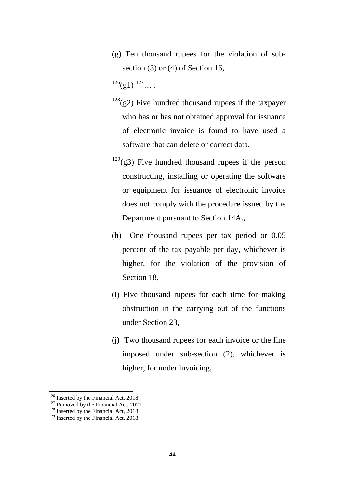(g) Ten thousand rupees for the violation of subsection (3) or (4) of Section 16,

 $^{126}(g1)$  $^{126}(g1)$  $^{126}(g1)$   $^{127}$  $^{127}$  $^{127}$ …..

- $128$ (g2) Five hundred thousand rupees if the taxpayer who has or has not obtained approval for issuance of electronic invoice is found to have used a software that can delete or correct data,
- $129$ (g3) Five hundred thousand rupees if the person constructing, installing or operating the software or equipment for issuance of electronic invoice does not comply with the procedure issued by the Department pursuant to Section 14A.,
- (h) One thousand rupees per tax period or 0.05 percent of the tax payable per day, whichever is higher, for the violation of the provision of Section 18,
- (i) Five thousand rupees for each time for making obstruction in the carrying out of the functions under Section 23,
- (j) Two thousand rupees for each invoice or the fine imposed under sub-section (2), whichever is higher, for under invoicing,

 $126$  Inserted by the Financial Act, 2018.

<span id="page-43-2"></span><span id="page-43-1"></span><span id="page-43-0"></span><sup>127</sup> Removed by the Financial Act, 2018.<br><sup>128</sup> Inserted by the Financial Act, 2018.<br><sup>129</sup> Inserted by the Financial Act, 2018.

<span id="page-43-3"></span>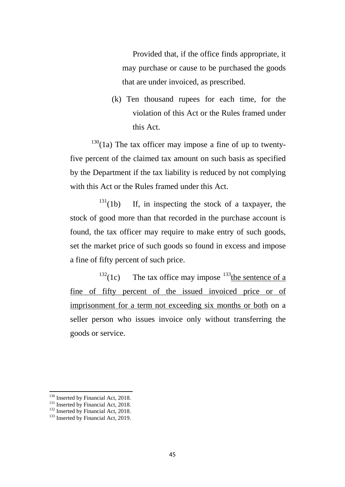Provided that, if the office finds appropriate, it may purchase or cause to be purchased the goods that are under invoiced, as prescribed.

(k) Ten thousand rupees for each time, for the violation of this Act or the Rules framed under this Act.

 $130(1a)$  $130(1a)$  The tax officer may impose a fine of up to twentyfive percent of the claimed tax amount on such basis as specified by the Department if the tax liability is reduced by not complying with this Act or the Rules framed under this Act.

 $131(1b)$  $131(1b)$  If, in inspecting the stock of a taxpayer, the stock of good more than that recorded in the purchase account is found, the tax officer may require to make entry of such goods, set the market price of such goods so found in excess and impose a fine of fifty percent of such price.

 $132(1c)$  $132(1c)$  The tax office may impose  $133$  the sentence of a fine of fifty percent of the issued invoiced price or of imprisonment for a term not exceeding six months or both on a seller person who issues invoice only without transferring the goods or service.

<sup>&</sup>lt;sup>130</sup> Inserted by Financial Act, 2018.

<span id="page-44-2"></span><span id="page-44-1"></span><span id="page-44-0"></span><sup>131</sup> Inserted by Financial Act, 2018.<br><sup>132</sup> Inserted by Financial Act, 2018.<br><sup>133</sup> Inserted by Financial Act, 2019.

<span id="page-44-3"></span>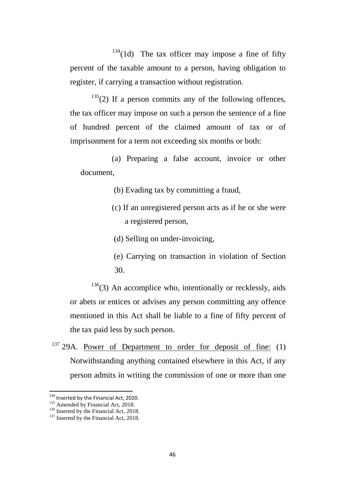$134(1d)$  $134(1d)$  The tax officer may impose a fine of fifty percent of the taxable amount to a person, having obligation to register, if carrying a transaction without registration.

 $135(2)$  $135(2)$  If a person commits any of the following offences, the tax officer may impose on such a person the sentence of a fine of hundred percent of the claimed amount of tax or of imprisonment for a term not exceeding six months or both:

(a) Preparing a false account, invoice or other document,

(b) Evading tax by committing a fraud,

(c) If an unregistered person acts as if he or she were a registered person,

(d) Selling on under-invoicing,

(e) Carrying on transaction in violation of Section 30.

 $136(3)$  $136(3)$  An accomplice who, intentionally or recklessly, aids or abets or entices or advises any person committing any offence mentioned in this Act shall be liable to a fine of fifty percent of the tax paid less by such person.

 $137$  29A. Power of Department to order for deposit of fine: (1) Notwithstanding anything contained elsewhere in this Act, if any person admits in writing the commission of one or more than one

<sup>&</sup>lt;sup>134</sup> Inserted by the Financial Act, 2020.

<span id="page-45-2"></span><span id="page-45-1"></span><span id="page-45-0"></span><sup>135</sup> Amended by Financial Act, 2018.<br>
136 Inserted by the Financial Act, 2018.<br>
137 Inserted by the Financial Act, 2018.

<span id="page-45-3"></span>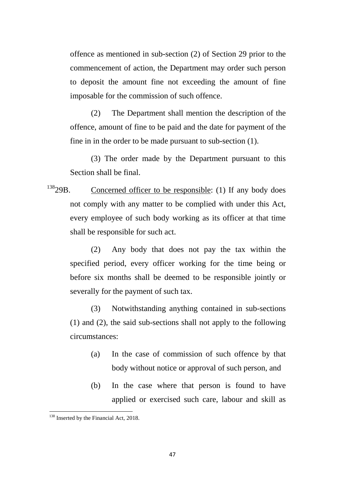offence as mentioned in sub-section (2) of Section 29 prior to the commencement of action, the Department may order such person to deposit the amount fine not exceeding the amount of fine imposable for the commission of such offence.

(2) The Department shall mention the description of the offence, amount of fine to be paid and the date for payment of the fine in in the order to be made pursuant to sub-section (1).

(3) The order made by the Department pursuant to this Section shall be final.

 $13829B$  $13829B$ . Concerned officer to be responsible: (1) If any body does not comply with any matter to be complied with under this Act, every employee of such body working as its officer at that time shall be responsible for such act.

(2) Any body that does not pay the tax within the specified period, every officer working for the time being or before six months shall be deemed to be responsible jointly or severally for the payment of such tax.

(3) Notwithstanding anything contained in sub-sections (1) and (2), the said sub-sections shall not apply to the following circumstances:

- (a) In the case of commission of such offence by that body without notice or approval of such person, and
- (b) In the case where that person is found to have applied or exercised such care, labour and skill as

<span id="page-46-0"></span><sup>&</sup>lt;sup>138</sup> Inserted by the Financial Act, 2018.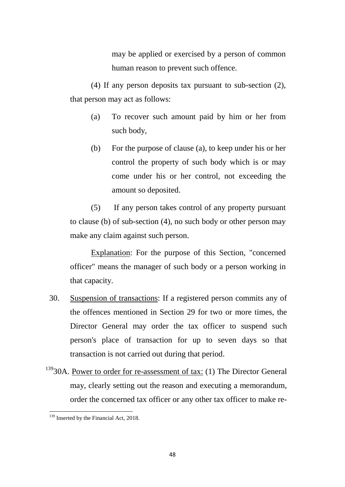may be applied or exercised by a person of common human reason to prevent such offence.

(4) If any person deposits tax pursuant to sub-section (2), that person may act as follows:

- (a) To recover such amount paid by him or her from such body,
- (b) For the purpose of clause (a), to keep under his or her control the property of such body which is or may come under his or her control, not exceeding the amount so deposited.

(5) If any person takes control of any property pursuant to clause (b) of sub-section (4), no such body or other person may make any claim against such person.

Explanation: For the purpose of this Section, "concerned officer" means the manager of such body or a person working in that capacity.

- 30. Suspension of transactions: If a registered person commits any of the offences mentioned in Section 29 for two or more times, the Director General may order the tax officer to suspend such person's place of transaction for up to seven days so that transaction is not carried out during that period.
- $13930A$  $13930A$ . Power to order for re-assessment of tax: (1) The Director General may, clearly setting out the reason and executing a memorandum, order the concerned tax officer or any other tax officer to make re-

<span id="page-47-0"></span><sup>&</sup>lt;sup>139</sup> Inserted by the Financial Act, 2018. **.**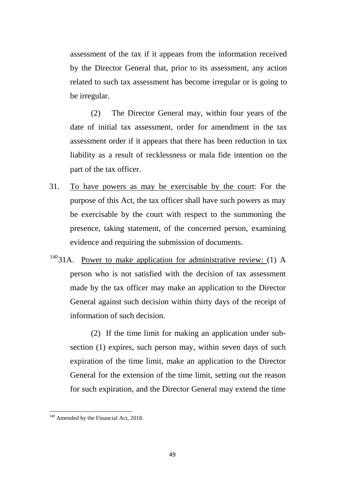assessment of the tax if it appears from the information received by the Director General that, prior to its assessment, any action related to such tax assessment has become irregular or is going to be irregular.

(2) The Director General may, within four years of the date of initial tax assessment, order for amendment in the tax assessment order if it appears that there has been reduction in tax liability as a result of recklessness or mala fide intention on the part of the tax officer.

- 31. To have powers as may be exercisable by the court: For the purpose of this Act, the tax officer shall have such powers as may be exercisable by the court with respect to the summoning the presence, taking statement, of the concerned person, examining evidence and requiring the submission of documents.
- $14031$  $14031$ A. Power to make application for administrative review: (1) A person who is not satisfied with the decision of tax assessment made by the tax officer may make an application to the Director General against such decision within thirty days of the receipt of information of such decision.

(2) If the time limit for making an application under subsection (1) expires, such person may, within seven days of such expiration of the time limit, make an application to the Director General for the extension of the time limit, setting out the reason for such expiration, and the Director General may extend the time

<span id="page-48-0"></span><sup>&</sup>lt;sup>140</sup> Amended by the Financial Act, 2018.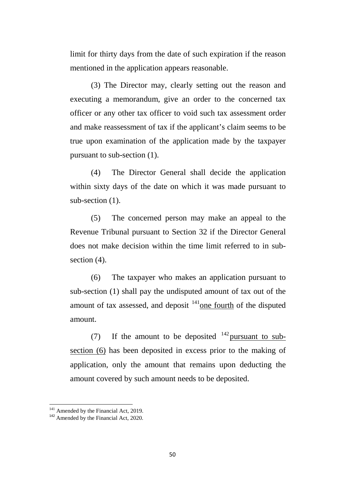limit for thirty days from the date of such expiration if the reason mentioned in the application appears reasonable.

(3) The Director may, clearly setting out the reason and executing a memorandum, give an order to the concerned tax officer or any other tax officer to void such tax assessment order and make reassessment of tax if the applicant's claim seems to be true upon examination of the application made by the taxpayer pursuant to sub-section (1).

(4) The Director General shall decide the application within sixty days of the date on which it was made pursuant to sub-section  $(1)$ .

(5) The concerned person may make an appeal to the Revenue Tribunal pursuant to Section 32 if the Director General does not make decision within the time limit referred to in subsection  $(4)$ .

(6) The taxpayer who makes an application pursuant to sub-section (1) shall pay the undisputed amount of tax out of the amount of tax assessed, and deposit <sup>141</sup><sub>one</sub> fourth of the disputed amount.

(7) If the amount to be deposited  $142$  pursuant to subsection (6) has been deposited in excess prior to the making of application, only the amount that remains upon deducting the amount covered by such amount needs to be deposited.

<span id="page-49-1"></span><span id="page-49-0"></span><sup>&</sup>lt;sup>141</sup> Amended by the Financial Act, 2019.<br><sup>142</sup> Amended by the Financial Act, 2020.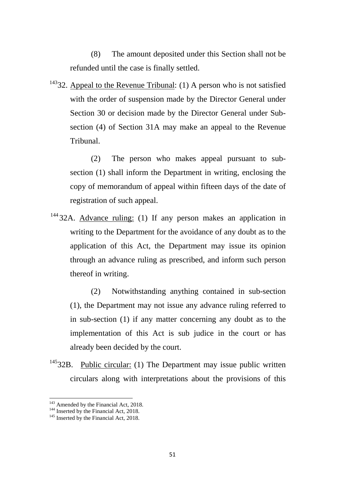(8) The amount deposited under this Section shall not be refunded until the case is finally settled.

 $14332$  $14332$ . Appeal to the Revenue Tribunal: (1) A person who is not satisfied with the order of suspension made by the Director General under Section 30 or decision made by the Director General under Subsection (4) of Section 31A may make an appeal to the Revenue Tribunal.

(2) The person who makes appeal pursuant to subsection (1) shall inform the Department in writing, enclosing the copy of memorandum of appeal within fifteen days of the date of registration of such appeal.

<sup>[144](#page-50-1)</sup> 32A. Advance ruling: (1) If any person makes an application in writing to the Department for the avoidance of any doubt as to the application of this Act, the Department may issue its opinion through an advance ruling as prescribed, and inform such person thereof in writing.

(2) Notwithstanding anything contained in sub-section (1), the Department may not issue any advance ruling referred to in sub-section (1) if any matter concerning any doubt as to the implementation of this Act is sub judice in the court or has already been decided by the court.

 $14532B$  $14532B$ . Public circular: (1) The Department may issue public written circulars along with interpretations about the provisions of this

 $\overline{\phantom{a}}$ 

<span id="page-50-0"></span><sup>&</sup>lt;sup>143</sup> Amended by the Financial Act, 2018.<br><sup>144</sup> Inserted by the Financial Act, 2018.<br><sup>145</sup> Inserted by the Financial Act, 2018.

<span id="page-50-1"></span>

<span id="page-50-2"></span>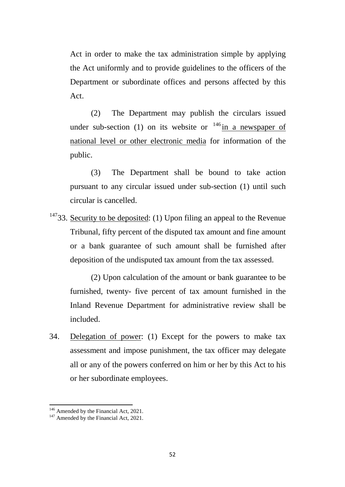Act in order to make the tax administration simple by applying the Act uniformly and to provide guidelines to the officers of the Department or subordinate offices and persons affected by this Act.

(2) The Department may publish the circulars issued under sub-section (1) on its website or  $146$  in a newspaper of national level or other electronic media for information of the public.

(3) The Department shall be bound to take action pursuant to any circular issued under sub-section (1) until such circular is cancelled.

 $14733$  $14733$ . Security to be deposited: (1) Upon filing an appeal to the Revenue Tribunal, fifty percent of the disputed tax amount and fine amount or a bank guarantee of such amount shall be furnished after deposition of the undisputed tax amount from the tax assessed.

(2) Upon calculation of the amount or bank guarantee to be furnished, twenty- five percent of tax amount furnished in the Inland Revenue Department for administrative review shall be included.

34. Delegation of power: (1) Except for the powers to make tax assessment and impose punishment, the tax officer may delegate all or any of the powers conferred on him or her by this Act to his or her subordinate employees.

<span id="page-51-0"></span><sup>&</sup>lt;sup>146</sup> Amended by the Financial Act, 2021.<br><sup>147</sup> Amended by the Financial Act, 2021.

<span id="page-51-1"></span>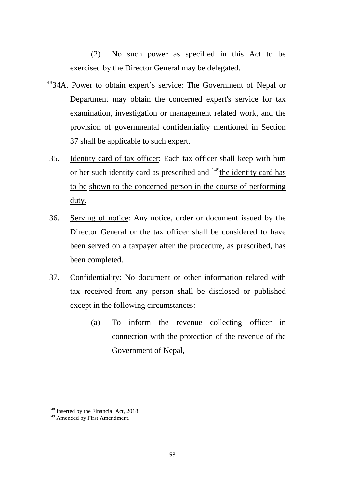(2) No such power as specified in this Act to be exercised by the Director General may be delegated.

- <sup>[148](#page-52-0)</sup>34A. Powe<u>r to obtain expert's service</u>: The Government of Nepal or Department may obtain the concerned expert's service for tax examination, investigation or management related work, and the provision of governmental confidentiality mentioned in Section 37 shall be applicable to such expert.
	- 35. Identity card of tax officer: Each tax officer shall keep with him or her such identity card as prescribed and <sup>[149](#page-52-1)</sup>the identity card has to be shown to the concerned person in the course of performing duty.
	- 36. Serving of notice: Any notice, order or document issued by the Director General or the tax officer shall be considered to have been served on a taxpayer after the procedure, as prescribed, has been completed.
	- 37**.** Confidentiality: No document or other information related with tax received from any person shall be disclosed or published except in the following circumstances:
		- (a) To inform the revenue collecting officer in connection with the protection of the revenue of the Government of Nepal,

<span id="page-52-0"></span><sup>&</sup>lt;sup>148</sup> Inserted by the Financial Act, 2018.<br><sup>149</sup> Amended by First Amendment.

<span id="page-52-1"></span>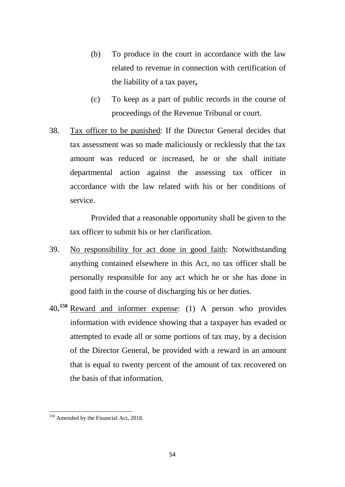- (b) To produce in the court in accordance with the law related to revenue in connection with certification of the liability of a tax payer**,**
- (c) To keep as a part of public records in the course of proceedings of the Revenue Tribunal or court.
- 38. Tax officer to be punished: If the Director General decides that tax assessment was so made maliciously or recklessly that the tax amount was reduced or increased, he or she shall initiate departmental action against the assessing tax officer in accordance with the law related with his or her conditions of service.

Provided that a reasonable opportunity shall be given to the tax officer to submit his or her clarification.

- 39. No responsibility for act done in good faith: Notwithstanding anything contained elsewhere in this Act, no tax officer shall be personally responsible for any act which he or she has done in good faith in the course of discharging his or her duties.
- 40**. [150](#page-53-0)** Reward and informer expense: (1) A person who provides information with evidence showing that a taxpayer has evaded or attempted to evade all or some portions of tax may, by a decision of the Director General, be provided with a reward in an amount that is equal to twenty percent of the amount of tax recovered on the basis of that information.

<span id="page-53-0"></span><sup>&</sup>lt;sup>150</sup> Amended by the Financial Act, 2018.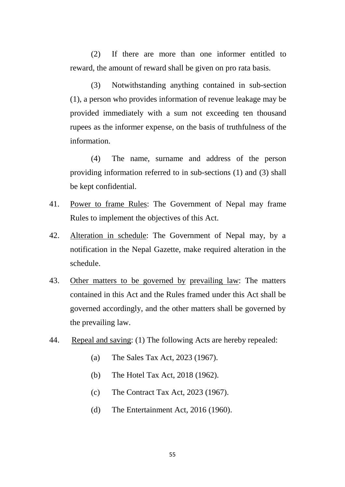(2) If there are more than one informer entitled to reward, the amount of reward shall be given on pro rata basis.

(3) Notwithstanding anything contained in sub-section (1), a person who provides information of revenue leakage may be provided immediately with a sum not exceeding ten thousand rupees as the informer expense, on the basis of truthfulness of the information.

(4) The name, surname and address of the person providing information referred to in sub-sections (1) and (3) shall be kept confidential.

- 41. Power to frame Rules: The Government of Nepal may frame Rules to implement the objectives of this Act.
- 42. Alteration in schedule: The Government of Nepal may, by a notification in the Nepal Gazette, make required alteration in the schedule.
- 43. Other matters to be governed by prevailing law: The matters contained in this Act and the Rules framed under this Act shall be governed accordingly, and the other matters shall be governed by the prevailing law.
- 44. Repeal and saving: (1) The following Acts are hereby repealed:
	- (a) The Sales Tax Act, 2023 (1967).
	- (b) The Hotel Tax Act, 2018 (1962).
	- (c) The Contract Tax Act, 2023 (1967).
	- (d) The Entertainment Act, 2016 (1960).